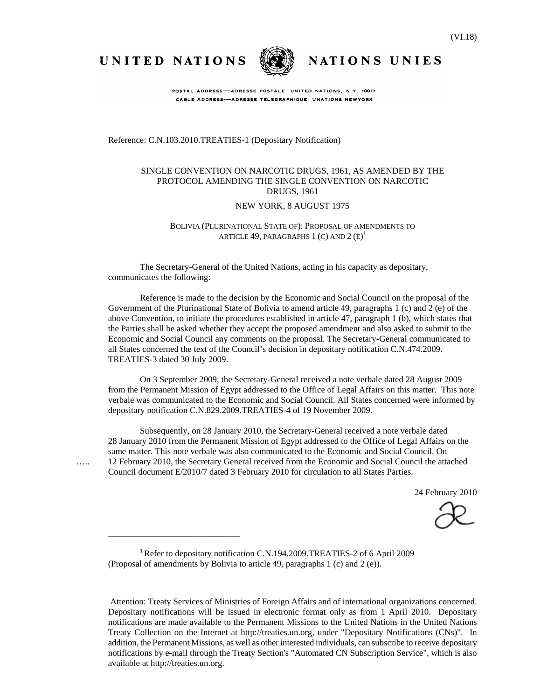UNITED NATIONS



NATIONS UNIES

POSTAL ADDRESS-ADRESSE POSTALE: UNITED NATIONS, N.Y. 10017 CABLE ADDRESS-ADRESSE TELEGRAPHIQUE UNATIONS NEWYORK

Reference: C.N.103.2010.TREATIES-1 (Depositary Notification)

#### SINGLE CONVENTION ON NARCOTIC DRUGS, 1961, AS AMENDED BY THE PROTOCOL AMENDING THE SINGLE CONVENTION ON NARCOTIC DRUGS, 1961

#### NEW YORK, 8 AUGUST 1975

#### BOLIVIA (PLURINATIONAL STATE OF): PROPOSAL OF AMENDMENTS TO article 49, paragraphs 1 (c) and 2  $\left(\textrm{E}\right)^{1}$

The Secretary-General of the United Nations, acting in his capacity as depositary, communicates the following:

 Reference is made to the decision by the Economic and Social Council on the proposal of the Government of the Plurinational State of Bolivia to amend article 49, paragraphs 1 (c) and 2 (e) of the above Convention, to initiate the procedures established in article 47, paragraph 1 (b), which states that the Parties shall be asked whether they accept the proposed amendment and also asked to submit to the Economic and Social Council any comments on the proposal. The Secretary-General communicated to all States concerned the text of the Council's decision in depositary notification C.N.474.2009. TREATIES-3 dated 30 July 2009.

 On 3 September 2009, the Secretary-General received a note verbale dated 28 August 2009 from the Permanent Mission of Egypt addressed to the Office of Legal Affairs on this matter. This note verbale was communicated to the Economic and Social Council. All States concerned were informed by depositary notification C.N.829.2009.TREATIES-4 of 19 November 2009.

 Subsequently, on 28 January 2010, the Secretary-General received a note verbale dated 28 January 2010 from the Permanent Mission of Egypt addressed to the Office of Legal Affairs on the same matter. This note verbale was also communicated to the Economic and Social Council. On ….. 12 February 2010, the Secretary General received from the Economic and Social Council the attached Council document E/2010/7 dated 3 February 2010 for circulation to all States Parties.

24 February 2010

<sup>1</sup> Refer to depositary notification C.N.194.2009.TREATIES-2 of 6 April 2009 (Proposal of amendments by Bolivia to article 49, paragraphs 1 (c) and 2 (e)).

\_\_\_\_\_\_\_\_\_\_\_\_\_\_\_\_\_\_\_\_\_\_\_\_\_\_\_\_\_\_

Attention: Treaty Services of Ministries of Foreign Affairs and of international organizations concerned. Depositary notifications will be issued in electronic format only as from 1 April 2010. Depositary notifications are made available to the Permanent Missions to the United Nations in the United Nations Treaty Collection on the Internet at http://treaties.un.org, under "Depositary Notifications (CNs)". In addition, the Permanent Missions, as well as other interested individuals, can subscribe to receive depositary notifications by e-mail through the Treaty Section's "Automated CN Subscription Service", which is also available at http://treaties.un.org.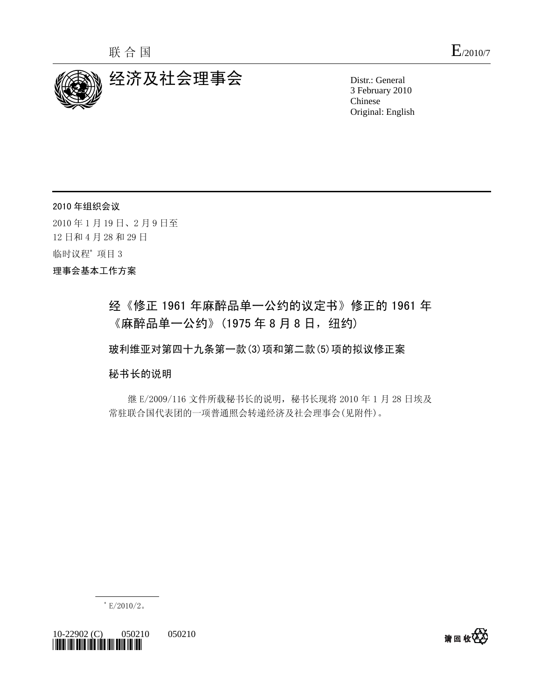

3 February 2010 Chinese Original: English

2010 年组织会议 2010 年 1 月 19 日、2 月 9 日至 12 日和 4 月 28 和 29 日 临时议程\* 项目 3 理事会基本工作方案

## 经《修正 1961 年麻醉品单一公约的议定书》修正的 1961 年 《麻醉品单一公约》(1975年8月8日, 纽约)

玻利维亚对第四十九条第一款(3)项和第二款(5)项的拟议修正案

秘书长的说明

 继 E/2009/116 文件所载秘书长的说明,秘书长现将 2010 年 1 月 28 日埃及 常驻联合国代表团的一项普通照会转递经济及社会理事会(见附件)。



10-22902 (C) 050210 050210 *\*1022902\** 

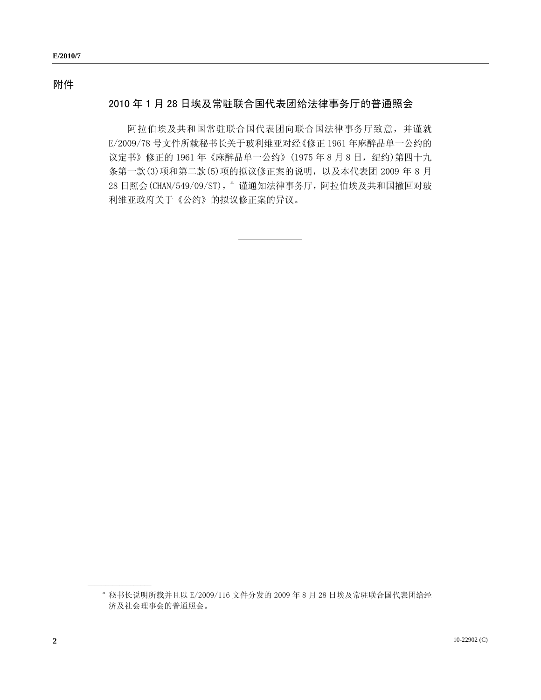## 附件

## 2010 年 1 月 28 日埃及常驻联合国代表团给法律事务厅的普通照会

 阿拉伯埃及共和国常驻联合国代表团向联合国法律事务厅致意,并谨就 E/2009/78 号文件所载秘书长关于玻利维亚对经《修正 1961 年麻醉品单一公约的 议定书》修正的 1961年《麻醉品单一公约》(1975年8月8日,纽约)第四十九 条第一款(3)项和第二款(5)项的拟议修正案的说明,以及本代表团 2009 年 8 月 28 日照会(CHAN/549/09/ST), <sup>a</sup> 谨通知法律事务厅, 阿拉伯埃及共和国撤回对玻 利维亚政府关于《公约》的拟议修正案的异议。

<span id="page-2-0"></span>a 秘书长说明所载并且以 E/2009/116 文件分发的 2009 年 8 月 28 日埃及常驻联合国代表团给经 济及社会理事会的普通照会。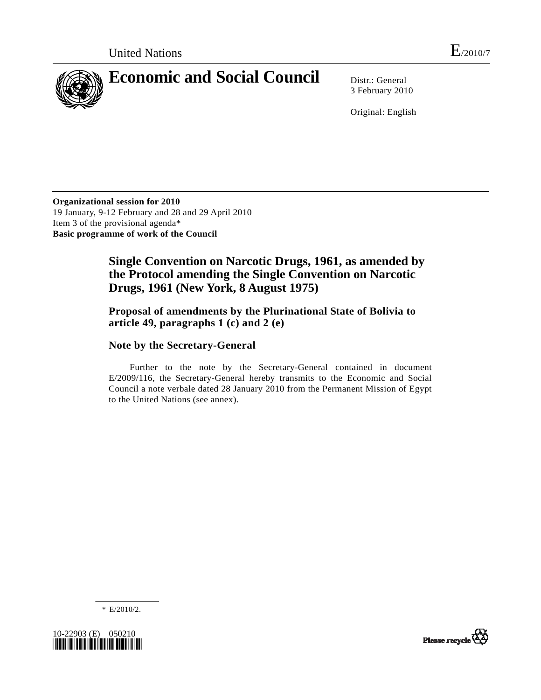

3 February 2010

Original: English

**Organizational session for 2010**  19 January, 9-12 February and 28 and 29 April 2010 Item 3 of the provisional agenda\* **Basic programme of work of the Council** 

## **Single Convention on Narcotic Drugs, 1961, as amended by the Protocol amending the Single Convention on Narcotic Drugs, 1961 (New York, 8 August 1975)**

#### **Proposal of amendments by the Plurinational State of Bolivia to article 49, paragraphs 1 (c) and 2 (e)**

#### **Note by the Secretary-General**

 Further to the note by the Secretary-General contained in document E/2009/116, the Secretary-General hereby transmits to the Economic and Social Council a note verbale dated 28 January 2010 from the Permanent Mission of Egypt to the United Nations (see annex).

\* E/2010/2.



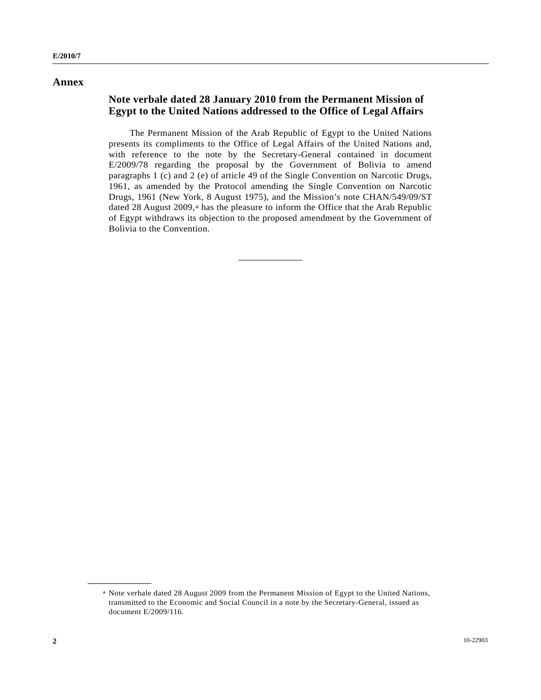#### **Annex**

#### **Note verbale dated 28 January 2010 from the Permanent Mission of Egypt to the United Nations addressed to the Office of Legal Affairs**

 The Permanent Mission of the Arab Republic of Egypt to the United Nations presents its compliments to the Office of Legal Affairs of the United Nations and, with reference to the note by the Secretary-General contained in document E/2009/78 regarding the proposal by the Government of Bolivia to amend paragraphs 1 (c) and 2 (e) of article 49 of the Single Convention on Narcotic Drugs, 1961, as amended by the Protocol amending the Single Convention on Narcotic Drugs, 1961 (New York, 8 August 1975), and the Mission's note CHAN/549/09/ST dated 28 August 2009,<sup>a</sup> has the pleasure to inform the Office that the Arab Republic of Egypt withdraws its objection to the proposed amendment by the Government of Bolivia to the Convention.

<span id="page-4-0"></span>a Note verbale dated 28 August 2009 from the Permanent Mission of Egypt to the United Nations, transmitted to the Economic and Social Council in a note by the Secretary-General, issued as document E/2009/116.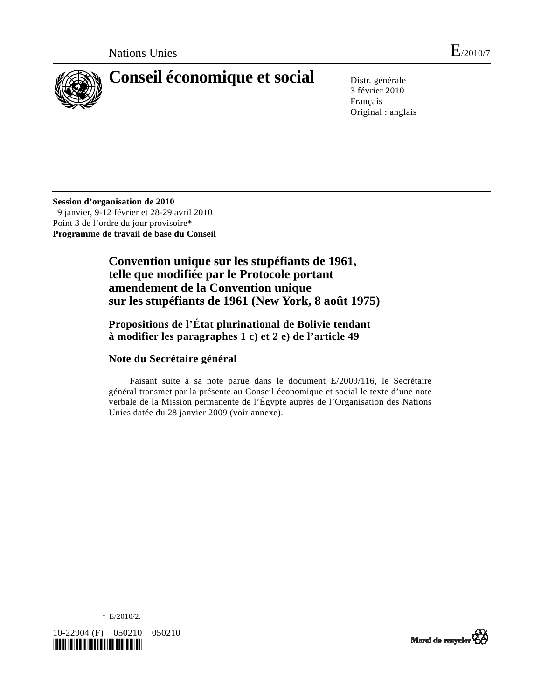

# **Conseil économique et social** Distr. générale

3 février 2010 Français Original : anglais

**Session d'organisation de 2010**  19 janvier, 9-12 février et 28-29 avril 2010 Point 3 de l'ordre du jour provisoire\* **Programme de travail de base du Conseil** 

> **Convention unique sur les stupéfiants de 1961, telle que modifiée par le Protocole portant amendement de la Convention unique sur les stupéfiants de 1961 (New York, 8 août 1975)**

## **Propositions de l'État plurinational de Bolivie tendant à modifier les paragraphes 1 c) et 2 e) de l'article 49**

## **Note du Secrétaire général**

 Faisant suite à sa note parue dans le document E/2009/116, le Secrétaire général transmet par la présente au Conseil économique et social le texte d'une note verbale de la Mission permanente de l'Égypte auprès de l'Organisation des Nations Unies datée du 28 janvier 2009 (voir annexe).



10-22904 (F) 050210 050210 *\*1022904\** 

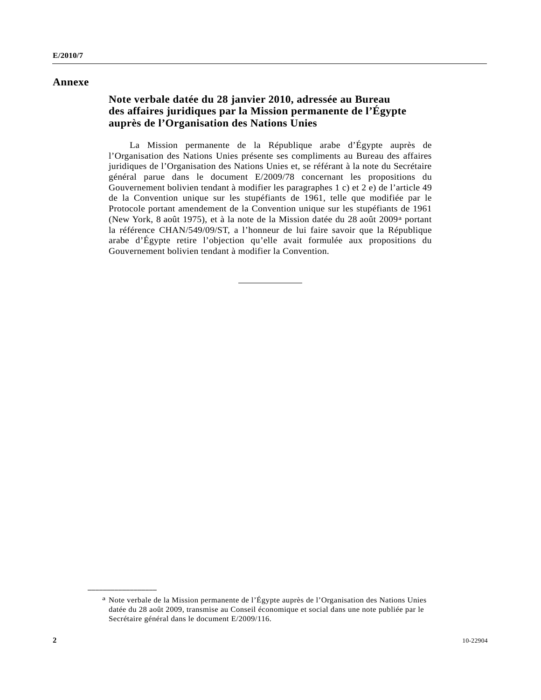#### **Annexe**

#### **Note verbale datée du 28 janvier 2010, adressée au Bureau des affaires juridiques par la Mission permanente de l'Égypte auprès de l'Organisation des Nations Unies**

 La Mission permanente de la République arabe d'Égypte auprès de l'Organisation des Nations Unies présente ses compliments au Bureau des affaires juridiques de l'Organisation des Nations Unies et, se référant à la note du Secrétaire général parue dans le document E/2009/78 concernant les propositions du Gouvernement bolivien tendant à modifier les paragraphes 1 c) et 2 e) de l'article 49 de la Convention unique sur les stupéfiants de 1961, telle que modifiée par le Protocole portant amendement de la Convention unique sur les stupéfiants de 1961 (New York, 8 août 1975), et à la note de la Mission datée du 28 août 2009[a](#page-6-0) portant la référence CHAN/549/09/ST, a l'honneur de lui faire savoir que la République arabe d'Égypte retire l'objection qu'elle avait formulée aux propositions du Gouvernement bolivien tendant à modifier la Convention.

<span id="page-6-0"></span>a Note verbale de la Mission permanente de l'Égypte auprès de l'Organisation des Nations Unies datée du 28 août 2009, transmise au Conseil économique et social dans une note publiée par le Secrétaire général dans le document E/2009/116.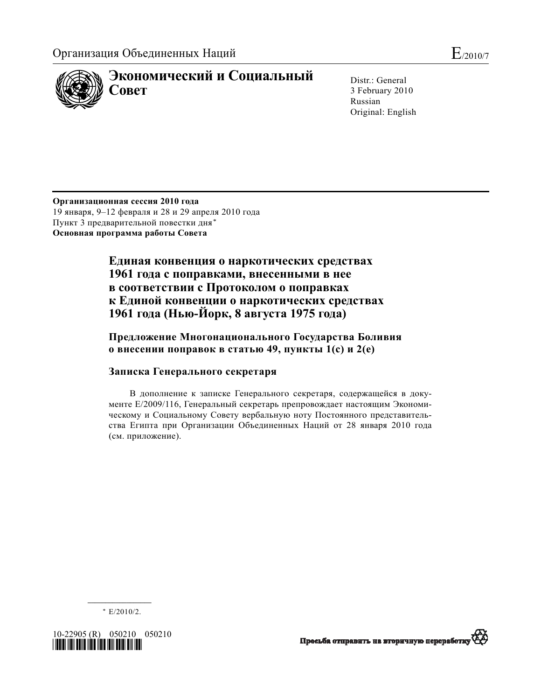

Distr.: General 3 February 2010 Russian Original: English

**Организационная сессия 2010 года** 19 января, 9–12 февраля и 28 и 29 апреля 2010 года Пункт 3 предварительной повестки дня[\\*](#page-7-0) **Основная программа работы Совета**

> **Единая конвенция о наркотических средствах 1961 года с поправками, внесенными в нее в соответствии с Протоколом о поправках к Единой конвенции о наркотических средствах 1961 года (Нью-Йорк, 8 августа 1975 года)**

## **Предложение Многонационального Государства Боливия о внесении поправок в статью 49, пункты 1(c) и 2(e)**

## **Записка Генерального секретаря**

В дополнение к записке Генерального секретаря, содержащейся в документе E/2009/116, Генеральный секретарь препровождает настоящим Экономическому и Социальному Совету вербальную ноту Постоянного представительства Египта при Организации Объединенных Наций от 28 января 2010 года (см. приложение).

**\_\_\_\_\_\_\_\_\_\_\_\_\_\_\_\_\_\_**  \* E/2010/2.

<span id="page-7-0"></span>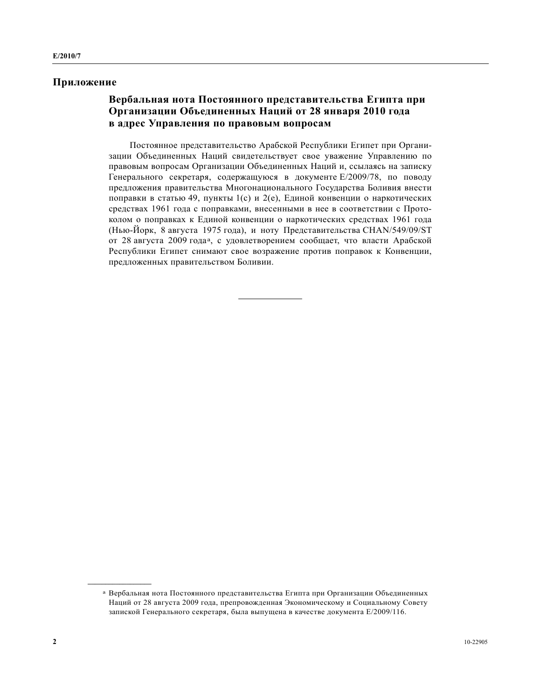#### **Приложение**

#### **Вербальная нота Постоянного представительства Египта при Организации Объединенных Наций от 28 января 2010 года в адрес Управления по правовым вопросам**

Постоянное представительство Арабской Республики Египет при Организации Объединенных Наций свидетельствует свое уважение Управлению по правовым вопросам Организации Объединенных Наций и, ссылаясь на записку Генерального секретаря, содержащуюся в документе E/2009/78, по поводу предложения правительства Многонационального Государства Боливия внести поправки в статью 49, пункты 1(c) и 2(e), Единой конвенции о наркотических средствах 1961 года с поправками, внесенными в нее в соответствии с Протоколом о поправках к Единой конвенции о наркотических средствах 1961 года (Нью-Йорк, 8 августа 1975 года), и ноту Представительства CHAN/549/09/ST от 28 августа 2009 года[a](#page-8-0), с удовлетворением сообщает, что власти Арабской Республики Египет снимают свое возражение против поправок к Конвенции, предложенных правительством Боливии.

<span id="page-8-0"></span>a Вербальная нота Постоянного представительства Египта при Организации Объединенных Наций от 28 августа 2009 года, препровожденная Экономическому и Социальному Совету запиской Генерального секретаря, была выпущена в качестве документа E/2009/116.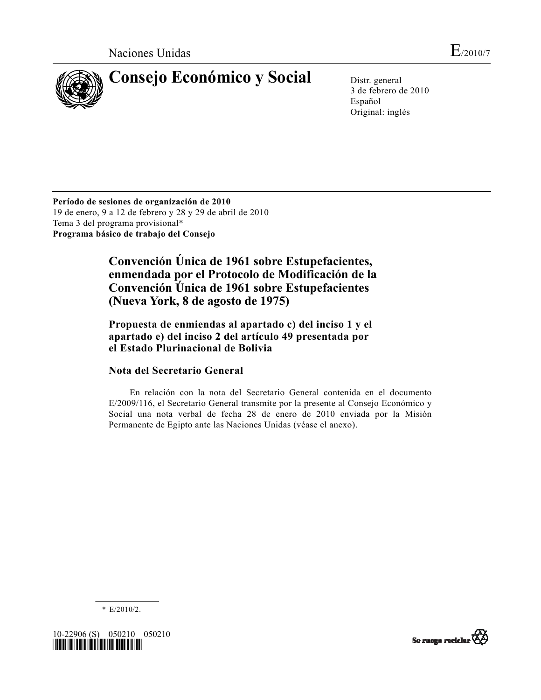

3 de febrero de 2010 Español Original: inglés

**Período de sesiones de organización de 2010**  19 de enero, 9 a 12 de febrero y 28 y 29 de abril de 2010 Tema 3 del programa provisional\* **Programa básico de trabajo del Consejo** 

> **Convención Única de 1961 sobre Estupefacientes, enmendada por el Protocolo de Modificación de la Convención Única de 1961 sobre Estupefacientes (Nueva York, 8 de agosto de 1975)**

 **Propuesta de enmiendas al apartado c) del inciso 1 y el apartado e) del inciso 2 del artículo 49 presentada por el Estado Plurinacional de Bolivia** 

## **Nota del Secretario General**

 En relación con la nota del Secretario General contenida en el documento E/2009/116, el Secretario General transmite por la presente al Consejo Económico y Social una nota verbal de fecha 28 de enero de 2010 enviada por la Misión Permanente de Egipto ante las Naciones Unidas (véase el anexo).



10-22906 (S) 050210 050210 *\*1022906\** 

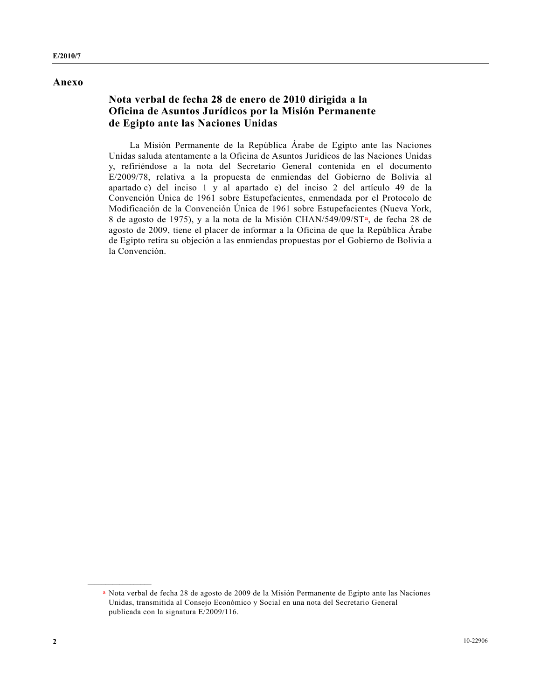#### **Anexo**

#### **Nota verbal de fecha 28 de enero de 2010 dirigida a la Oficina de Asuntos Jurídicos por la Misión Permanente de Egipto ante las Naciones Unidas**

 La Misión Permanente de la República Árabe de Egipto ante las Naciones Unidas saluda atentamente a la Oficina de Asuntos Jurídicos de las Naciones Unidas y, refiriéndose a la nota del Secretario General contenida en el documento E/2009/78, relativa a la propuesta de enmiendas del Gobierno de Bolivia al apartado c) del inciso 1 y al apartado e) del inciso 2 del artículo 49 de la Convención Única de 1961 sobre Estupefacientes, enmendada por el Protocolo de Modificación de la Convención Única de 1961 sobre Estupefacientes (Nueva York, 8 de agosto de 1975), y a la nota de la Misión CHAN/549/09/ST[a,](#page-10-0) de fecha 28 de agosto de 2009, tiene el placer de informar a la Oficina de que la República Árabe de Egipto retira su objeción a las enmiendas propuestas por el Gobierno de Bolivia a la Convención.

<span id="page-10-0"></span>a Nota verbal de fecha 28 de agosto de 2009 de la Misión Permanente de Egipto ante las Naciones Unidas, transmitida al Consejo Económico y Social en una nota del Secretario General publicada con la signatura E/2009/116.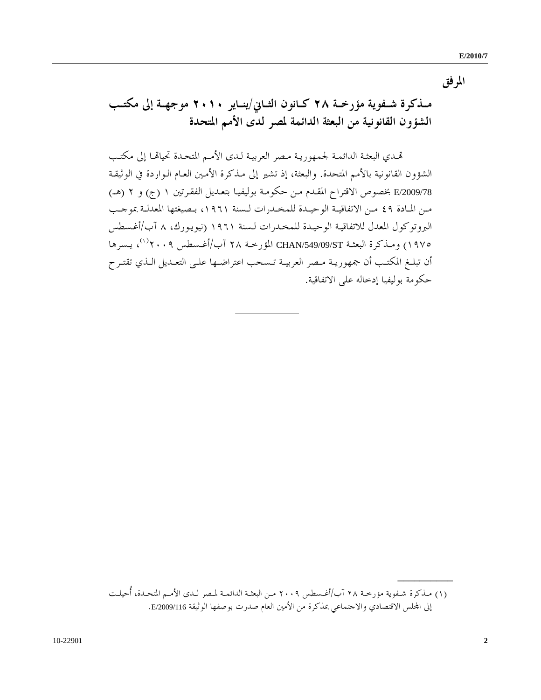**المرفق** 

 **مــذكرة شــفوية مؤرخــة ٢٨ / كــانون الثــاني ينــاير ٢٠١٠ موجهــة إلى مكتــب الشؤون القانونية من البعثة الدائمة لمصر لدى الأمم المتحدة** 

 هتـدي البعثـة الدائمـة لجمهوريـة مـصر العربيـة لـدى الأمـم المتحـدة تحياهتـا إلى مكتـب الشؤون القانونية بالأمم المتحدة. والبعثة، إذ تشير إلى مـذكرة الأمـين العـام الـواردة في الوثيقـة /2009/78E بخصوص الاقتراح المقـدم مـن حكومـة بوليفيـا بتعـدي ١ل الفقـرتين ( ج) و ٢ (هــ) مــن المــادة ٤٩ مــن الاتفاقيــة الوحيــدة للمخــدرات لــسنة ،١٩٦١ بــصيغتها المعدلــة بموجــب البروتوكول المعدل للاتفاقيـة الوحيـدة للمخـدرات لـسنة ١٩٦١ (نيويـورك، ٨ / آب أغـسطس ، يـسرها ([١](#page-11-0)) ١٩٧٥) ومـذكرة البعثـة ST/549/09/CHAN المؤرخـة ٢٨ / آب أغـسطس ٢٠٠٩ أن تبلــغ المكتــب أن جمهوريــة مــصر العربيــة تــسحب اعتراضــها علــى التعــديل الــذي تقتــرح حكومة بوليفيا إدخاله على الاتفاقية.

**\_\_\_\_\_\_\_\_\_\_**

<span id="page-11-0"></span> <sup>(</sup>١) مــذكرة شــفوية مؤرخــة آب٢٨ / أغــسطس ٢٠٠٩ مــن البعثــة الدائمــة لمــصر لــدى الأمــم المتحــدة، أُحيلــت إلى اجمللس الاقتصادي والاجتماعي بمذكرة من الأمين العام صدرت بوصفها الوثيقة /2009/116E.